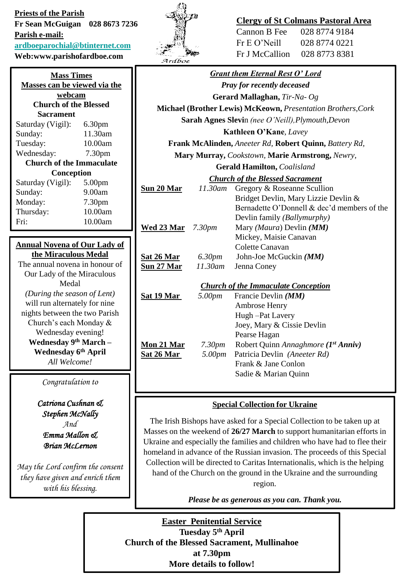**Priests of the Parish Fr Sean McGuigan 028 8673 7236 Parish e-mail: [ardboeparochial@btinternet.com](mailto:ardboeparochial@btinternet.com) Web:www.parishofardboe.com**

| <b>Mass Times</b>                   |                    |  |
|-------------------------------------|--------------------|--|
| Masses can be viewed via the        |                    |  |
| webcam                              |                    |  |
| <b>Church of the Blessed</b>        |                    |  |
| Sacrament                           |                    |  |
| Saturday (Vigil):                   | 6.30pm             |  |
| Sunday:                             | 11.30am            |  |
| Tuesday:                            | 10.00am            |  |
| Wednesday:                          | 7.30 <sub>pm</sub> |  |
| <b>Church of the Immaculate</b>     |                    |  |
| Conception                          |                    |  |
| Saturday (Vigil):                   | 5.00pm             |  |
| Sunday:                             | 9.00am             |  |
| Monday:                             | 7.30 <sub>pm</sub> |  |
| Thursday:                           | 10.00am            |  |
|                                     |                    |  |
| Fri:                                | 10.00am            |  |
|                                     |                    |  |
| <b>Annual Novena of Our Lady of</b> |                    |  |
| the Miraculous Medal                |                    |  |
| The annual novena in honour of      |                    |  |

Medal *(During the season of Lent)* will run alternately for nine nights between the two Parish Church's each Monday & Wednesday evening! **Wednesday 9th March – Wednesday 6th April** *All Welcome!*

*Congratulation to*

*Catriona Cushnan & Stephen McNally And Emma Mallon & Brian McLernon*

*May the Lord confirm the consent they have given and enrich them with his blessing.*



# **Clergy of St Colmans Pastoral Area**

Cannon B Fee 028 8774 9184 Fr E O'Neill 028 8774 0221 Fr J McCallion 028 8773 8381

|                                                              |                    | <b>Grant them Eternal Rest O' Lord</b>      |
|--------------------------------------------------------------|--------------------|---------------------------------------------|
| <b>Pray for recently deceased</b>                            |                    |                                             |
| Gerard Mallaghan, Tir-Na- Og                                 |                    |                                             |
| Michael (Brother Lewis) McKeown, Presentation Brothers, Cork |                    |                                             |
| Sarah Agnes Slevin (nee O'Neill), Plymouth, Devon            |                    |                                             |
| <b>Kathleen O'Kane, Lavey</b>                                |                    |                                             |
| Frank McAlinden, Aneeter Rd, Robert Quinn, Battery Rd,       |                    |                                             |
| Mary Murray, Cookstown, Marie Armstrong, Newry,              |                    |                                             |
| <b>Gerald Hamilton, Coalisland</b>                           |                    |                                             |
| <b>Church of the Blessed Sacrament</b>                       |                    |                                             |
| <u>Sun 20 Mar</u>                                            | 11.30am            | Gregory & Roseanne Scullion                 |
|                                                              |                    | Bridget Devlin, Mary Lizzie Devlin &        |
|                                                              |                    | Bernadette O'Donnell & dec'd members of the |
|                                                              |                    | Devlin family (Ballymurphy)                 |
| <b>Wed 23 Mar</b> 7.30pm                                     |                    | Mary (Maura) Devlin (MM)                    |
|                                                              |                    | Mickey, Maisie Canavan                      |
|                                                              |                    | Colette Canavan                             |
| Sat 26 Mar                                                   | 6.30pm             | John-Joe McGuckin (MM)                      |
| <u>Sun 27 Mar</u>                                            | 11.30am            | Jenna Coney                                 |
|                                                              |                    |                                             |
| <b>Church of the Immaculate Conception</b>                   |                    |                                             |
| <u>Sat 19 Mar </u>                                           | 5.00pm             | Francie Devlin (MM)                         |
|                                                              |                    | Ambrose Henry                               |
|                                                              |                    | Hugh-Pat Lavery                             |
|                                                              |                    | Joey, Mary & Cissie Devlin                  |
|                                                              |                    | Pearse Hagan                                |
| <b>Mon 21 Mar</b>                                            | 7.30 <sub>pm</sub> | Robert Quinn Annaghmore (1st Anniv)         |
| <b>Sat 26 Mar</b>                                            | 5.00pm             | Patricia Devlin (Aneeter Rd)                |
|                                                              |                    | Frank & Jane Conlon                         |
|                                                              |                    | Sadie & Marian Quinn                        |
|                                                              |                    |                                             |
| <b>Special Collection for Ukraine</b>                        |                    |                                             |

## **Special Collection for Ukraine**

The Irish Bishops have asked for a Special Collection to be taken up at Masses on the weekend of **26/27 March** to support humanitarian efforts in Ukraine and especially the families and children who have had to flee their homeland in advance of the Russian invasion. The proceeds of this Special Collection will be directed to Caritas Internationalis, which is the helping hand of the Church on the ground in the Ukraine and the surrounding region.

*Please be as generous as you can. Thank you.*

**Easter Penitential Service Tuesday 5th April Church of the Blessed Sacrament, Mullinahoe at 7.30pm More details to follow!**